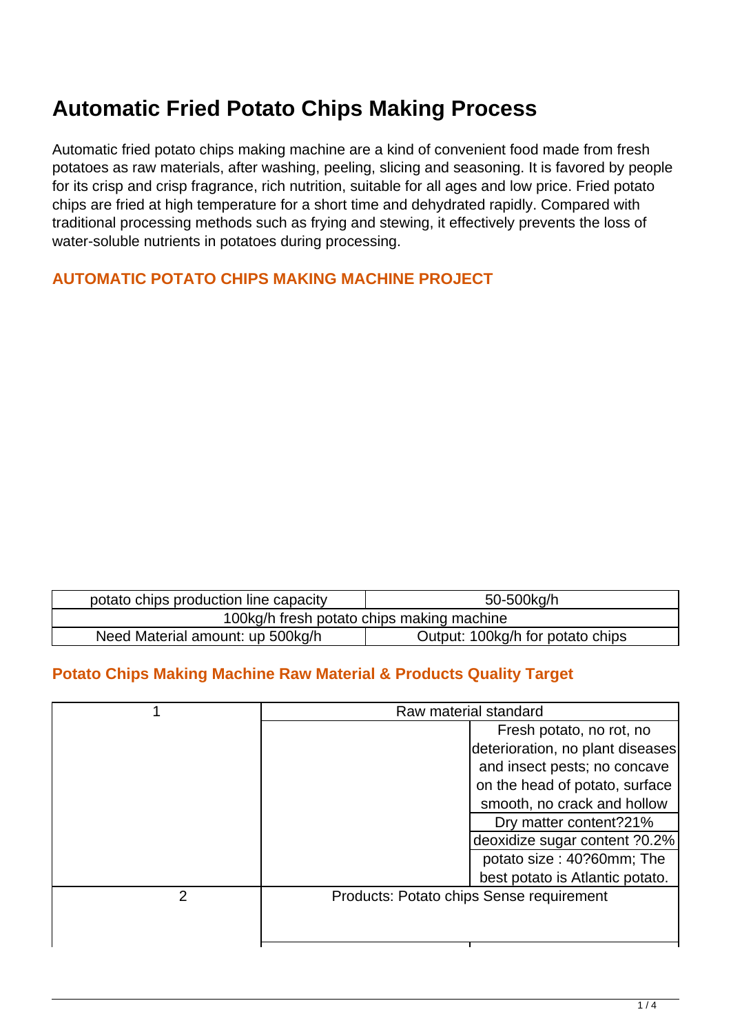## **Automatic Fried Potato Chips Making Process**

Automatic fried potato chips making machine are a kind of convenient food made from fresh potatoes as raw materials, after washing, peeling, slicing and seasoning. It is favored by people for its crisp and crisp fragrance, rich nutrition, suitable for all ages and low price. Fried potato chips are fried at high temperature for a short time and dehydrated rapidly. Compared with traditional processing methods such as frying and stewing, it effectively prevents the loss of water-soluble nutrients in potatoes during processing.

## **AUTOMATIC POTATO CHIPS MAKING MACHINE PROJECT**

| potato chips production line capacity     | 50-500kg/h                       |  |
|-------------------------------------------|----------------------------------|--|
| 100kg/h fresh potato chips making machine |                                  |  |
| Need Material amount: up 500kg/h          | Output: 100kg/h for potato chips |  |

## **Potato Chips Making Machine Raw Material & Products Quality Target**

|   | Raw material standard                    |  |
|---|------------------------------------------|--|
|   | Fresh potato, no rot, no                 |  |
|   | deterioration, no plant diseases         |  |
|   | and insect pests; no concave             |  |
|   | on the head of potato, surface           |  |
|   | smooth, no crack and hollow              |  |
|   | Dry matter content?21%                   |  |
|   | deoxidize sugar content ?0.2%            |  |
|   | potato size: 40?60mm; The                |  |
|   | best potato is Atlantic potato.          |  |
| 2 | Products: Potato chips Sense requirement |  |
|   |                                          |  |
|   |                                          |  |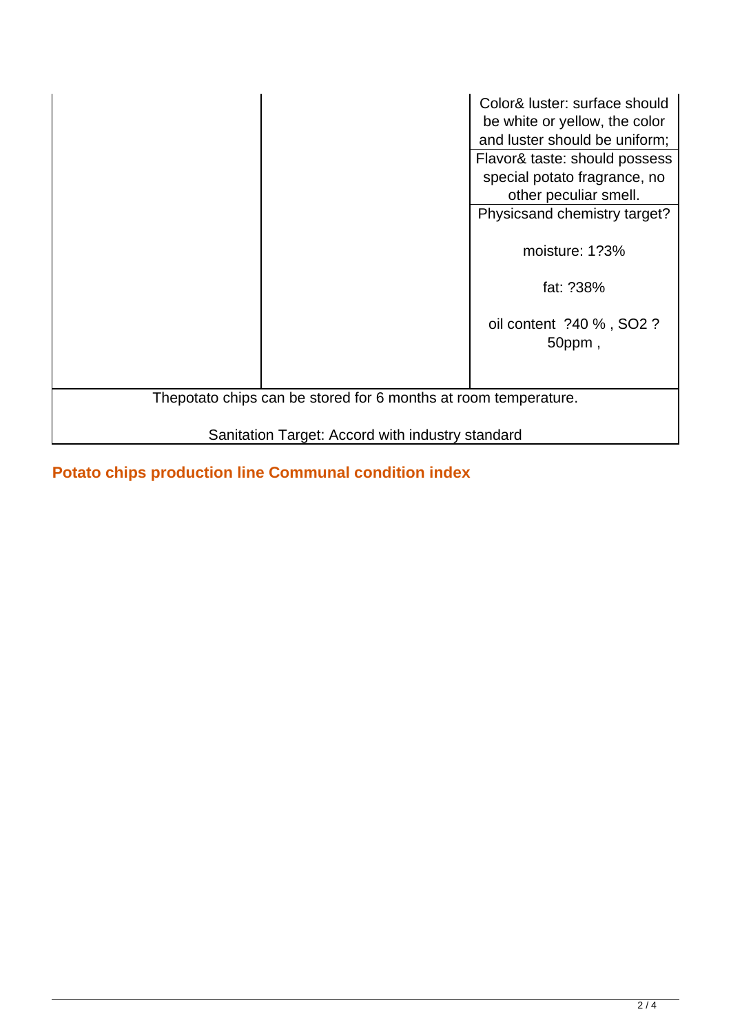|                                                                 | Color& luster: surface should<br>be white or yellow, the color<br>and luster should be uniform; |  |
|-----------------------------------------------------------------|-------------------------------------------------------------------------------------------------|--|
|                                                                 | Flavor& taste: should possess                                                                   |  |
|                                                                 | special potato fragrance, no                                                                    |  |
|                                                                 | other peculiar smell.                                                                           |  |
|                                                                 | Physicsand chemistry target?                                                                    |  |
|                                                                 | moisture: 1?3%                                                                                  |  |
|                                                                 | fat: ?38%                                                                                       |  |
|                                                                 | oil content ?40 %, SO2 ?<br>50ppm,                                                              |  |
|                                                                 |                                                                                                 |  |
| Thepotato chips can be stored for 6 months at room temperature. |                                                                                                 |  |
|                                                                 |                                                                                                 |  |
| Sanitation Target: Accord with industry standard                |                                                                                                 |  |

**Potato chips production line Communal condition index**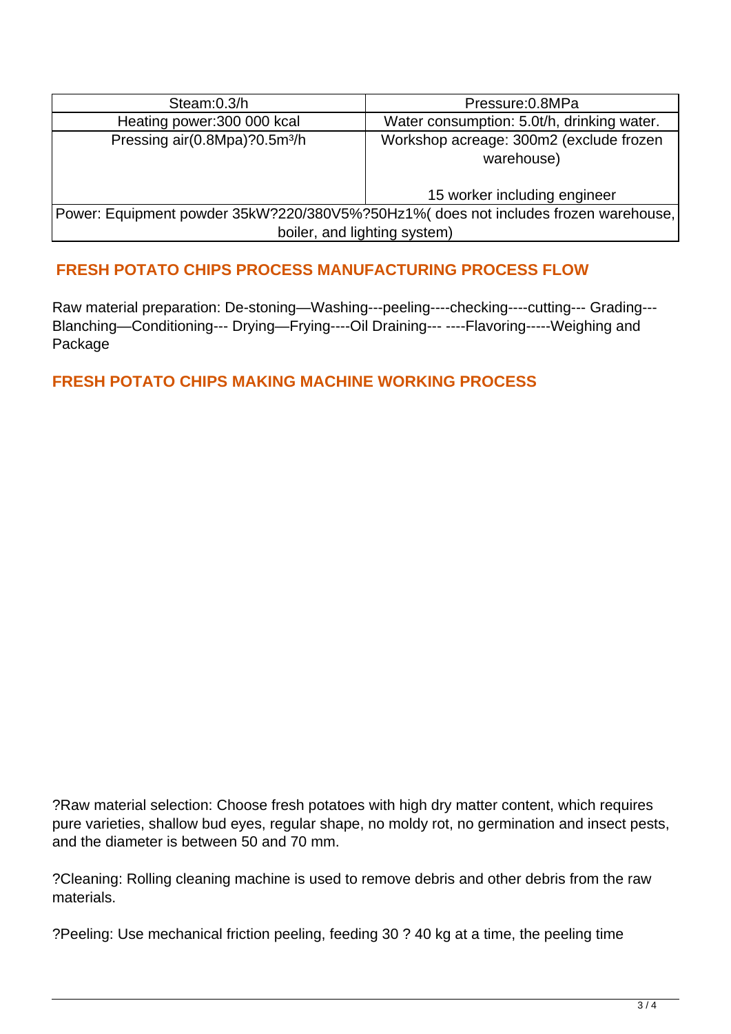| Steam:0.3/h                                                                        | Pressure: 0.8MPa                           |  |
|------------------------------------------------------------------------------------|--------------------------------------------|--|
| Heating power:300 000 kcal                                                         | Water consumption: 5.0t/h, drinking water. |  |
| Pressing air(0.8Mpa)?0.5m <sup>3</sup> /h                                          | Workshop acreage: 300m2 (exclude frozen    |  |
|                                                                                    | warehouse)                                 |  |
|                                                                                    |                                            |  |
|                                                                                    | 15 worker including engineer               |  |
| Power: Equipment powder 35kW?220/380V5%?50Hz1% does not includes frozen warehouse, |                                            |  |
| boiler, and lighting system)                                                       |                                            |  |

## **FRESH POTATO CHIPS PROCESS MANUFACTURING PROCESS FLOW**

Raw material preparation: De-stoning—Washing---peeling----checking----cutting--- Grading--- Blanching—Conditioning--- Drying—Frying----Oil Draining--- ----Flavoring-----Weighing and Package

**FRESH POTATO CHIPS MAKING MACHINE WORKING PROCESS**

?Raw material selection: Choose fresh potatoes with high dry matter content, which requires pure varieties, shallow bud eyes, regular shape, no moldy rot, no germination and insect pests, and the diameter is between 50 and 70 mm.

?Cleaning: Rolling cleaning machine is used to remove debris and other debris from the raw materials.

?Peeling: Use mechanical friction peeling, feeding 30 ? 40 kg at a time, the peeling time